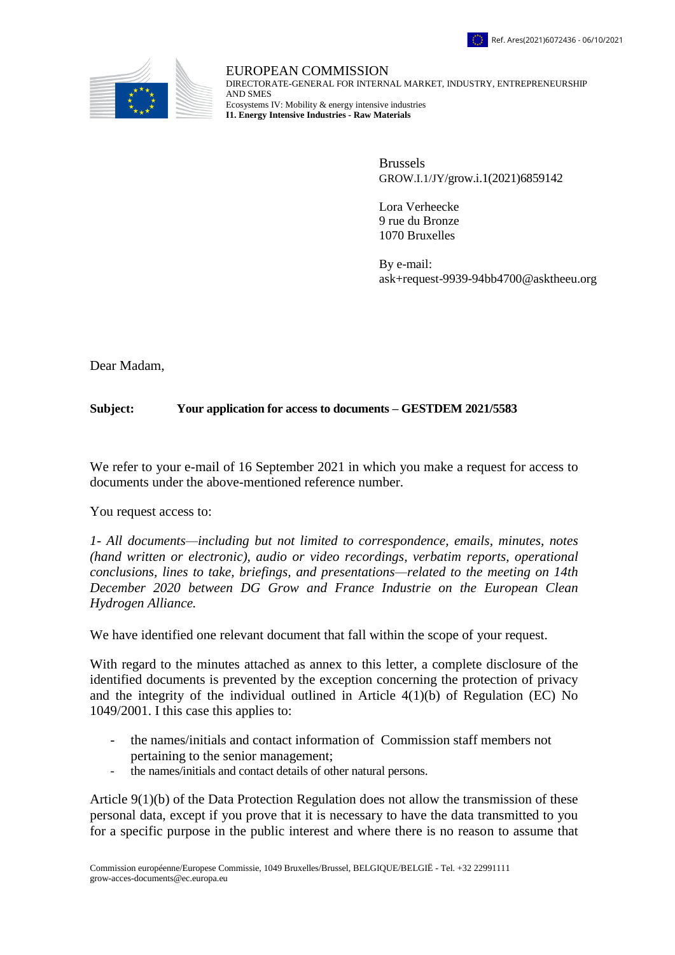



EUROPEAN COMMISSION DIRECTORATE-GENERAL FOR INTERNAL MARKET, INDUSTRY, ENTREPRENEURSHIP AND SMES Ecosystems IV: Mobility & energy intensive industries **I1. Energy Intensive Industries - Raw Materials**

> Brussels GROW.I.1/JY/grow.i.1(2021)6859142

Lora Verheecke 9 rue du Bronze 1070 Bruxelles

By e-mail: ask+request-9939-94bb4700@asktheeu.org

Dear Madam,

## **Subject: Your application for access to documents – GESTDEM 2021/5583**

We refer to your e-mail of 16 September 2021 in which you make a request for access to documents under the above-mentioned reference number.

You request access to:

*1- All documents—including but not limited to correspondence, emails, minutes, notes (hand written or electronic), audio or video recordings, verbatim reports, operational conclusions, lines to take, briefings, and presentations—related to the meeting on 14th December 2020 between DG Grow and France Industrie on the European Clean Hydrogen Alliance.*

We have identified one relevant document that fall within the scope of your request.

With regard to the minutes attached as annex to this letter, a complete disclosure of the identified documents is prevented by the exception concerning the protection of privacy and the integrity of the individual outlined in Article 4(1)(b) of Regulation (EC) No 1049/2001. I this case this applies to:

- the names/initials and contact information of Commission staff members not pertaining to the senior management;
- the names/initials and contact details of other natural persons.

Article 9(1)(b) of the Data Protection Regulation does not allow the transmission of these personal data, except if you prove that it is necessary to have the data transmitted to you for a specific purpose in the public interest and where there is no reason to assume that